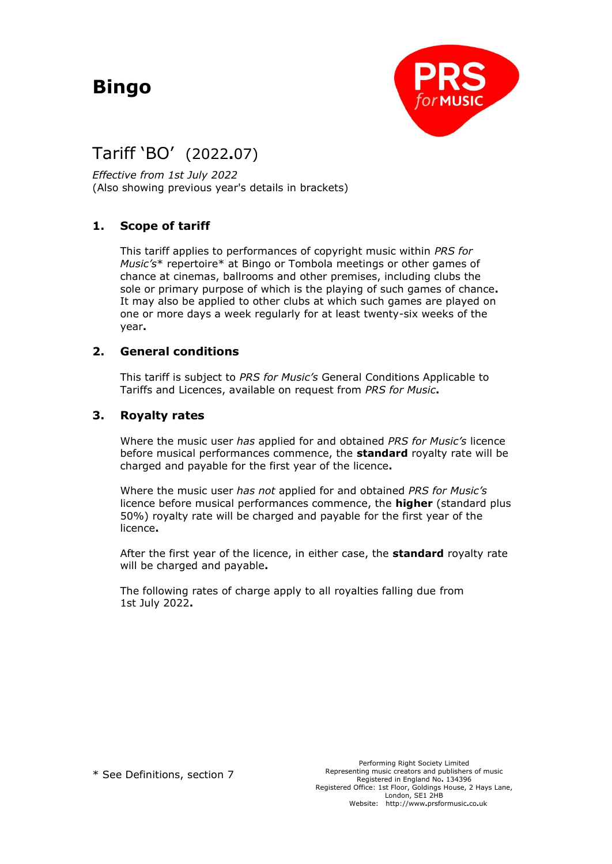# **Bingo**



## Tariff 'BO'(2022**.**07)

*Effective from 1st July 2022* (Also showing previous year's details in brackets)

### **1. Scope of tariff**

This tariff applies to performances of copyright music within *PRS for Music's*\* repertoire\* at Bingo or Tombola meetings or other games of chance at cinemas, ballrooms and other premises, including clubs the sole or primary purpose of which is the playing of such games of chance**.** It may also be applied to other clubs at which such games are played on one or more days a week regularly for at least twenty-six weeks of the year**.**

#### **2. General conditions**

This tariff is subject to *PRS for Music's* General Conditions Applicable to Tariffs and Licences, available on request from *PRS for Music***.**

#### **3. Royalty rates**

Where the music user *has* applied for and obtained *PRS for Music's* licence before musical performances commence, the **standard** royalty rate will be charged and payable for the first year of the licence**.**

Where the music user *has not* applied for and obtained *PRS for Music's* licence before musical performances commence, the **higher** (standard plus 50%) royalty rate will be charged and payable for the first year of the licence**.**

After the first year of the licence, in either case, the **standard** royalty rate will be charged and payable**.**

The following rates of charge apply to all royalties falling due from 1st July 2022**.**

\* See Definitions, section 7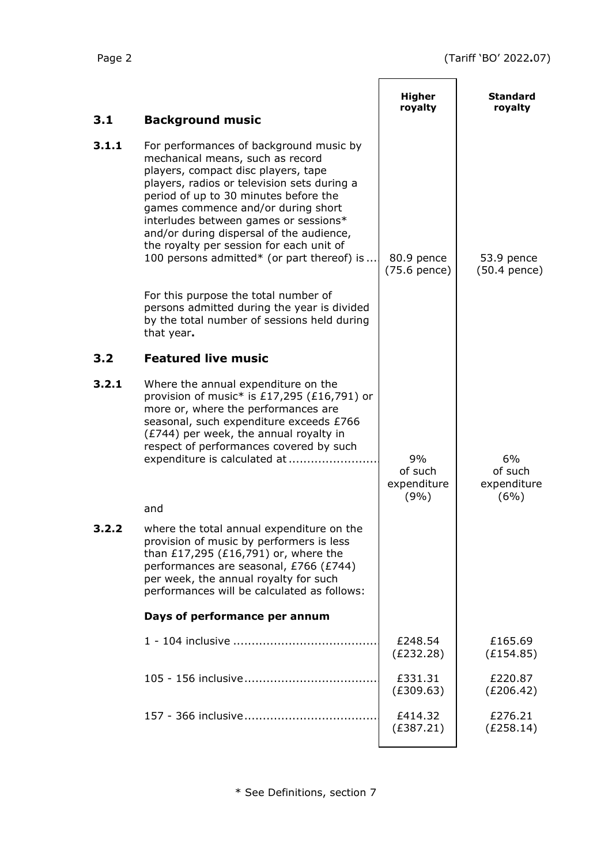|       |                                                                                                                                                                                                                                                                                                                                                                                                                                                                                                                        | <b>Higher</b>                        | Standard                             |
|-------|------------------------------------------------------------------------------------------------------------------------------------------------------------------------------------------------------------------------------------------------------------------------------------------------------------------------------------------------------------------------------------------------------------------------------------------------------------------------------------------------------------------------|--------------------------------------|--------------------------------------|
| 3.1   | <b>Background music</b>                                                                                                                                                                                                                                                                                                                                                                                                                                                                                                | royalty                              | royalty                              |
| 3.1.1 | For performances of background music by<br>mechanical means, such as record<br>players, compact disc players, tape<br>players, radios or television sets during a<br>period of up to 30 minutes before the<br>games commence and/or during short<br>interludes between games or sessions*<br>and/or during dispersal of the audience,<br>the royalty per session for each unit of<br>100 persons admitted* (or part thereof) is<br>For this purpose the total number of<br>persons admitted during the year is divided | 80.9 pence<br>(75.6 pence)           | 53.9 pence<br>$(50.4$ pence)         |
|       | by the total number of sessions held during<br>that year.                                                                                                                                                                                                                                                                                                                                                                                                                                                              |                                      |                                      |
| 3.2   | <b>Featured live music</b>                                                                                                                                                                                                                                                                                                                                                                                                                                                                                             |                                      |                                      |
| 3.2.1 | Where the annual expenditure on the<br>provision of music* is £17,295 (£16,791) or<br>more or, where the performances are<br>seasonal, such expenditure exceeds £766<br>(£744) per week, the annual royalty in<br>respect of performances covered by such<br>expenditure is calculated at                                                                                                                                                                                                                              | 9%<br>of such<br>expenditure<br>(9%) | 6%<br>of such<br>expenditure<br>(6%) |
|       | and                                                                                                                                                                                                                                                                                                                                                                                                                                                                                                                    |                                      |                                      |
| 3.2.2 | where the total annual expenditure on the<br>provision of music by performers is less<br>than £17,295 (£16,791) or, where the<br>performances are seasonal, £766 (£744)<br>per week, the annual royalty for such<br>performances will be calculated as follows:                                                                                                                                                                                                                                                        |                                      |                                      |
|       | Days of performance per annum                                                                                                                                                                                                                                                                                                                                                                                                                                                                                          |                                      |                                      |
|       |                                                                                                                                                                                                                                                                                                                                                                                                                                                                                                                        | £248.54<br>(E232.28)                 | £165.69<br>(E154.85)                 |
|       |                                                                                                                                                                                                                                                                                                                                                                                                                                                                                                                        | £331.31<br>(E309.63)                 | £220.87<br>(E206.42)                 |
|       |                                                                                                                                                                                                                                                                                                                                                                                                                                                                                                                        | £414.32<br>(E387.21)                 | £276.21<br>(E258.14)                 |
|       |                                                                                                                                                                                                                                                                                                                                                                                                                                                                                                                        |                                      |                                      |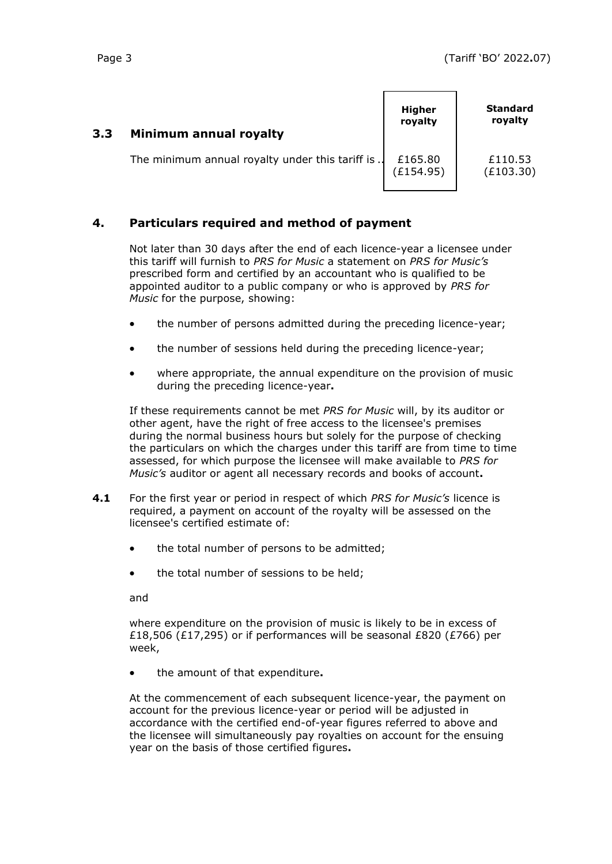| 3.3 | Minimum annual royalty                            | <b>Higher</b><br>royalty | <b>Standard</b><br>royalty |
|-----|---------------------------------------------------|--------------------------|----------------------------|
|     | The minimum annual royalty under this tariff is . | £165.80<br>(£154.95)     | £110.53<br>(E103.30)       |

#### **4. Particulars required and method of payment**

Not later than 30 days after the end of each licence-year a licensee under this tariff will furnish to *PRS for Music* a statement on *PRS for Music's* prescribed form and certified by an accountant who is qualified to be appointed auditor to a public company or who is approved by *PRS for Music* for the purpose, showing:

- the number of persons admitted during the preceding licence-year;
- the number of sessions held during the preceding licence-year;
- where appropriate, the annual expenditure on the provision of music during the preceding licence-year**.**

If these requirements cannot be met *PRS for Music* will, by its auditor or other agent, have the right of free access to the licensee's premises during the normal business hours but solely for the purpose of checking the particulars on which the charges under this tariff are from time to time assessed, for which purpose the licensee will make available to *PRS for Music's* auditor or agent all necessary records and books of account**.**

- **4.1** For the first year or period in respect of which *PRS for Music's* licence is required, a payment on account of the royalty will be assessed on the licensee's certified estimate of:
	- the total number of persons to be admitted;
	- the total number of sessions to be held;

and

where expenditure on the provision of music is likely to be in excess of £18,506 (£17,295) or if performances will be seasonal £820 (£766) per week,

• the amount of that expenditure**.**

At the commencement of each subsequent licence-year, the payment on account for the previous licence-year or period will be adjusted in accordance with the certified end-of-year figures referred to above and the licensee will simultaneously pay royalties on account for the ensuing year on the basis of those certified figures**.**